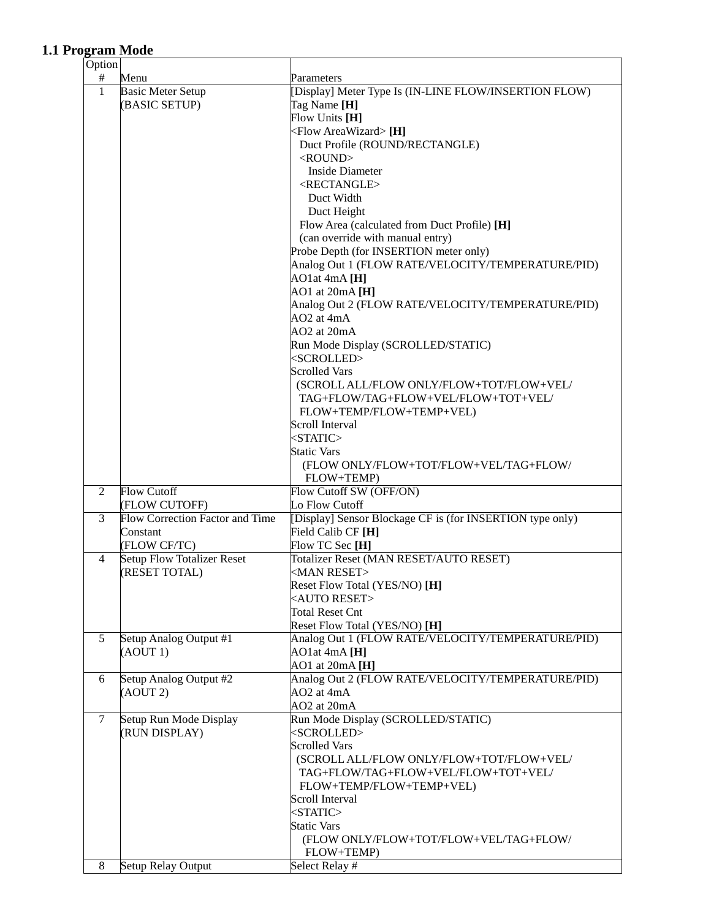## **1.1 Program Mode**

| Option         |                                   |                                                           |
|----------------|-----------------------------------|-----------------------------------------------------------|
| #              | Menu                              | Parameters                                                |
| $\mathbf{1}$   | <b>Basic Meter Setup</b>          | [Display] Meter Type Is (IN-LINE FLOW/INSERTION FLOW)     |
|                | (BASIC SETUP)                     | Tag Name [H]                                              |
|                |                                   | Flow Units [H]                                            |
|                |                                   | <flow areawizard=""> [H]</flow>                           |
|                |                                   | Duct Profile (ROUND/RECTANGLE)                            |
|                |                                   | $<$ ROUND $>$                                             |
|                |                                   | <b>Inside Diameter</b>                                    |
|                |                                   | <rectangle></rectangle>                                   |
|                |                                   |                                                           |
|                |                                   | Duct Width                                                |
|                |                                   | Duct Height                                               |
|                |                                   | Flow Area (calculated from Duct Profile) [H]              |
|                |                                   | (can override with manual entry)                          |
|                |                                   | Probe Depth (for INSERTION meter only)                    |
|                |                                   | Analog Out 1 (FLOW RATE/VELOCITY/TEMPERATURE/PID)         |
|                |                                   | $AO1$ at 4mA $[H]$                                        |
|                |                                   | AO1 at $20mA$ [H]                                         |
|                |                                   | Analog Out 2 (FLOW RATE/VELOCITY/TEMPERATURE/PID)         |
|                |                                   | AO2 at 4mA                                                |
|                |                                   | AO2 at 20mA                                               |
|                |                                   | Run Mode Display (SCROLLED/STATIC)                        |
|                |                                   |                                                           |
|                |                                   | <scrolled></scrolled>                                     |
|                |                                   | <b>Scrolled Vars</b>                                      |
|                |                                   | (SCROLL ALL/FLOW ONLY/FLOW+TOT/FLOW+VEL/                  |
|                |                                   | TAG+FLOW/TAG+FLOW+VEL/FLOW+TOT+VEL/                       |
|                |                                   | FLOW+TEMP/FLOW+TEMP+VEL)                                  |
|                |                                   | Scroll Interval                                           |
|                |                                   | $<$ STATIC $>$                                            |
|                |                                   | <b>Static Vars</b>                                        |
|                |                                   | (FLOW ONLY/FLOW+TOT/FLOW+VEL/TAG+FLOW/                    |
|                |                                   | FLOW+TEMP)                                                |
| $\overline{2}$ | <b>Flow Cutoff</b>                | Flow Cutoff SW (OFF/ON)                                   |
|                | (FLOW CUTOFF)                     | Lo Flow Cutoff                                            |
| 3              | Flow Correction Factor and Time   | [Display] Sensor Blockage CF is (for INSERTION type only) |
|                | Constant                          | Field Calib CF [H]                                        |
|                | (FLOW CF/TC)                      | Flow TC Sec [H]                                           |
| 4              | <b>Setup Flow Totalizer Reset</b> | Totalizer Reset (MAN RESET/AUTO RESET)                    |
|                | (RESET TOTAL)                     | <man reset=""></man>                                      |
|                |                                   | Reset Flow Total (YES/NO) [H]                             |
|                |                                   | <auto reset=""></auto>                                    |
|                |                                   |                                                           |
|                |                                   | <b>Total Reset Cnt</b>                                    |
|                |                                   | Reset Flow Total (YES/NO) [H]                             |
| 5              | Setup Analog Output #1            | Analog Out 1 (FLOW RATE/VELOCITY/TEMPERATURE/PID)         |
|                | (AOUT 1)                          | $AO1$ at 4mA $[H]$                                        |
|                |                                   | AO1 at $20mA[H]$                                          |
| 6              | Setup Analog Output #2            | Analog Out 2 (FLOW RATE/VELOCITY/TEMPERATURE/PID)         |
|                | (AOUT 2)                          | $AO2$ at $4mA$                                            |
|                |                                   | AO2 at 20mA                                               |
| $\tau$         | Setup Run Mode Display            | Run Mode Display (SCROLLED/STATIC)                        |
|                | (RUN DISPLAY)                     | <scrolled></scrolled>                                     |
|                |                                   | <b>Scrolled Vars</b>                                      |
|                |                                   | (SCROLL ALL/FLOW ONLY/FLOW+TOT/FLOW+VEL/                  |
|                |                                   | TAG+FLOW/TAG+FLOW+VEL/FLOW+TOT+VEL/                       |
|                |                                   | FLOW+TEMP/FLOW+TEMP+VEL)                                  |
|                |                                   | Scroll Interval                                           |
|                |                                   | $<$ STATIC $>$                                            |
|                |                                   | <b>Static Vars</b>                                        |
|                |                                   | (FLOW ONLY/FLOW+TOT/FLOW+VEL/TAG+FLOW/                    |
|                |                                   |                                                           |
|                |                                   | FLOW+TEMP)                                                |
| 8              | Setup Relay Output                | Select Relay #                                            |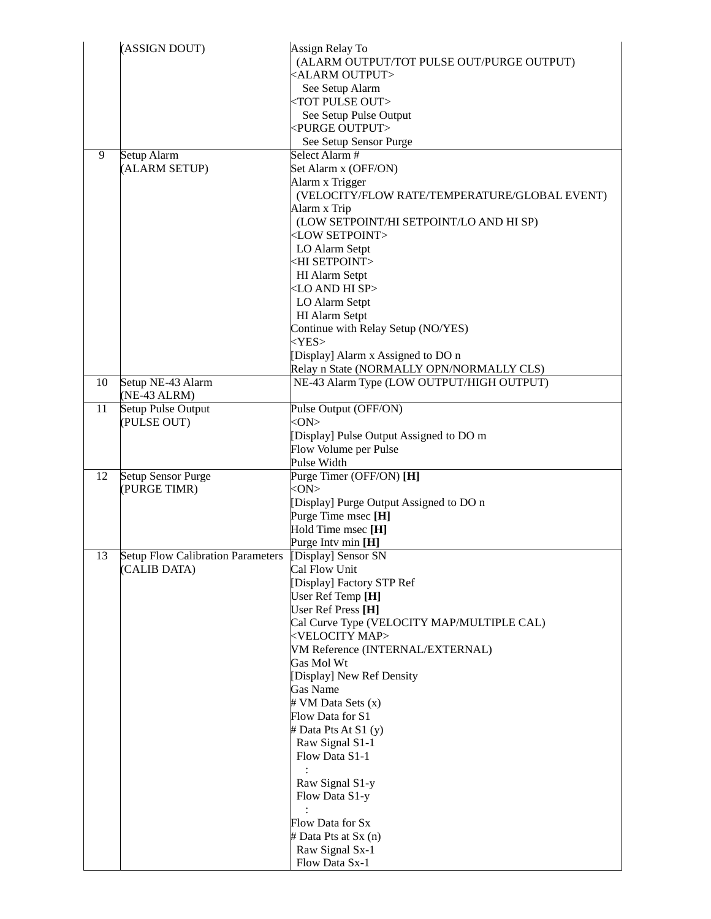|    | (ASSIGN DOUT)                                            | Assign Relay To<br>(ALARM OUTPUT/TOT PULSE OUT/PURGE OUTPUT)<br><alarm output=""><br/>See Setup Alarm<br/><tot out="" pulse=""><br/>See Setup Pulse Output<br/><purge output=""><br/>See Setup Sensor Purge</purge></tot></alarm>                                                                                                                                                                                                                                                                                                        |
|----|----------------------------------------------------------|------------------------------------------------------------------------------------------------------------------------------------------------------------------------------------------------------------------------------------------------------------------------------------------------------------------------------------------------------------------------------------------------------------------------------------------------------------------------------------------------------------------------------------------|
| 9  | Setup Alarm<br>(ALARM SETUP)                             | Select Alarm#<br>Set Alarm x (OFF/ON)<br>Alarm x Trigger<br>(VELOCITY/FLOW RATE/TEMPERATURE/GLOBAL EVENT)<br>Alarm x Trip<br>(LOW SETPOINT/HI SETPOINT/LO AND HI SP)<br><low setpoint=""><br/>LO Alarm Setpt<br/><hi setpoint=""><br/>HI Alarm Setpt<br/><lo and="" hi="" sp=""><br/>LO Alarm Setpt<br/>HI Alarm Setpt<br/>Continue with Relay Setup (NO/YES)<br/><math>&lt;</math>YES&gt;<br/>[Display] Alarm x Assigned to DO n</lo></hi></low>                                                                                        |
| 10 | Setup NE-43 Alarm<br>(NE-43 ALRM)                        | Relay n State (NORMALLY OPN/NORMALLY CLS)<br>NE-43 Alarm Type (LOW OUTPUT/HIGH OUTPUT)                                                                                                                                                                                                                                                                                                                                                                                                                                                   |
| 11 | Setup Pulse Output<br>(PULSE OUT)                        | Pulse Output (OFF/ON)<br>$<$ ON $>$<br>[Display] Pulse Output Assigned to DO m<br>Flow Volume per Pulse<br>Pulse Width                                                                                                                                                                                                                                                                                                                                                                                                                   |
| 12 | <b>Setup Sensor Purge</b><br>(PURGE TIMR)                | Purge Timer (OFF/ON) [H]<br>$<$ ON $>$<br>[Display] Purge Output Assigned to DO n<br>Purge Time msec [H]<br>Hold Time msec [H]<br>Purge Intv min [H]                                                                                                                                                                                                                                                                                                                                                                                     |
| 13 | <b>Setup Flow Calibration Parameters</b><br>(CALIB DATA) | [Display] Sensor SN<br>Cal Flow Unit<br>[Display] Factory STP Ref<br>User Ref Temp [H]<br>User Ref Press [H]<br>Cal Curve Type (VELOCITY MAP/MULTIPLE CAL)<br><velocity map=""><br/>VM Reference (INTERNAL/EXTERNAL)<br/>Gas Mol Wt<br/>[Display] New Ref Density<br/><b>Gas Name</b><br/># VM Data Sets (x)<br/>Flow Data for S1<br/># Data Pts At S1 (y)<br/>Raw Signal S1-1<br/>Flow Data S1-1<br/>Raw Signal S1-y<br/>Flow Data S1-y<br/>Flow Data for Sx<br/># Data Pts at Sx (n)<br/>Raw Signal Sx-1<br/>Flow Data Sx-1</velocity> |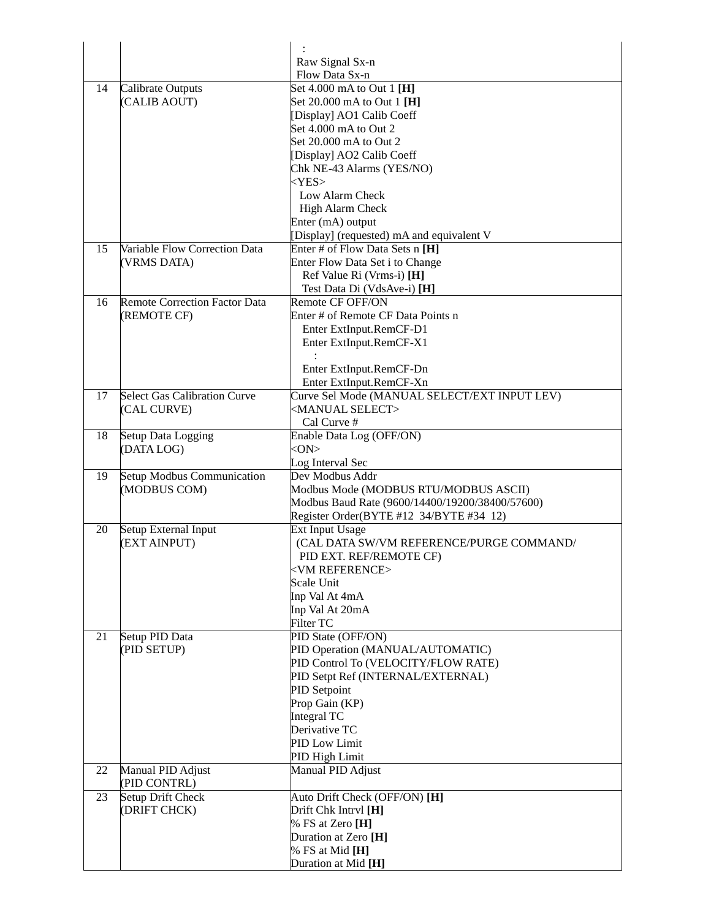|    |                                      | Raw Signal Sx-n                                 |
|----|--------------------------------------|-------------------------------------------------|
|    |                                      | Flow Data Sx-n                                  |
| 14 | Calibrate Outputs                    | Set 4.000 mA to Out 1 [H]                       |
|    | (CALIB AOUT)                         | Set 20.000 mA to Out 1 [H]                      |
|    |                                      | [Display] AO1 Calib Coeff                       |
|    |                                      | Set 4.000 mA to Out 2                           |
|    |                                      | Set 20.000 mA to Out 2                          |
|    |                                      |                                                 |
|    |                                      | [Display] AO2 Calib Coeff                       |
|    |                                      | Chk NE-43 Alarms (YES/NO)<br>$<$ YES $>$        |
|    |                                      | Low Alarm Check                                 |
|    |                                      |                                                 |
|    |                                      | High Alarm Check                                |
|    |                                      | Enter (mA) output                               |
|    |                                      | [Display] (requested) mA and equivalent V       |
| 15 | Variable Flow Correction Data        | Enter # of Flow Data Sets n [H]                 |
|    | (VRMS DATA)                          | Enter Flow Data Set i to Change                 |
|    |                                      | Ref Value Ri (Vrms-i) [H]                       |
|    |                                      | Test Data Di (VdsAve-i) [H]                     |
| 16 | <b>Remote Correction Factor Data</b> | Remote CF OFF/ON                                |
|    | (REMOTE CF)                          | Enter # of Remote CF Data Points n              |
|    |                                      | Enter ExtInput.RemCF-D1                         |
|    |                                      | Enter ExtInput.RemCF-X1                         |
|    |                                      |                                                 |
|    |                                      | Enter ExtInput.RemCF-Dn                         |
|    |                                      | Enter ExtInput.RemCF-Xn                         |
| 17 | <b>Select Gas Calibration Curve</b>  | Curve Sel Mode (MANUAL SELECT/EXT INPUT LEV)    |
|    | (CAL CURVE)                          | <manual select=""></manual>                     |
|    |                                      | Cal Curve #                                     |
| 18 | Setup Data Logging                   | Enable Data Log (OFF/ON)                        |
|    | (DATA LOG)                           | $<$ ON $>$                                      |
|    |                                      | Log Interval Sec                                |
| 19 | Setup Modbus Communication           | Dev Modbus Addr                                 |
|    | (MODBUS COM)                         | Modbus Mode (MODBUS RTU/MODBUS ASCII)           |
|    |                                      | Modbus Baud Rate (9600/14400/19200/38400/57600) |
|    |                                      | Register Order(BYTE #12 34/BYTE #34 12)         |
| 20 | Setup External Input                 | Ext Input Usage                                 |
|    | (EXT AINPUT)                         | (CAL DATA SW/VM REFERENCE/PURGE COMMAND/        |
|    |                                      | PID EXT. REF/REMOTE CF)                         |
|    |                                      | <b><vm reference=""></vm></b>                   |
|    |                                      | Scale Unit                                      |
|    |                                      | Inp Val At 4mA                                  |
|    |                                      | Inp Val At 20mA                                 |
|    |                                      |                                                 |
| 21 |                                      | Filter TC<br>PID State (OFF/ON)                 |
|    | Setup PID Data<br>(PID SETUP)        | PID Operation (MANUAL/AUTOMATIC)                |
|    |                                      |                                                 |
|    |                                      | PID Control To (VELOCITY/FLOW RATE)             |
|    |                                      | PID Setpt Ref (INTERNAL/EXTERNAL)               |
|    |                                      | PID Setpoint                                    |
|    |                                      | Prop Gain (KP)                                  |
|    |                                      | Integral TC                                     |
|    |                                      | Derivative TC                                   |
|    |                                      | PID Low Limit                                   |
|    |                                      | PID High Limit                                  |
| 22 | Manual PID Adjust                    | Manual PID Adjust                               |
|    | (PID CONTRL)                         |                                                 |
| 23 | Setup Drift Check                    | Auto Drift Check (OFF/ON) [H]                   |
|    | (DRIFT CHCK)                         | Drift Chk Intryl [H]                            |
|    |                                      | % FS at Zero [H]                                |
|    |                                      | Duration at Zero [H]                            |
|    |                                      | % FS at Mid [H]                                 |
|    |                                      | Duration at Mid [H]                             |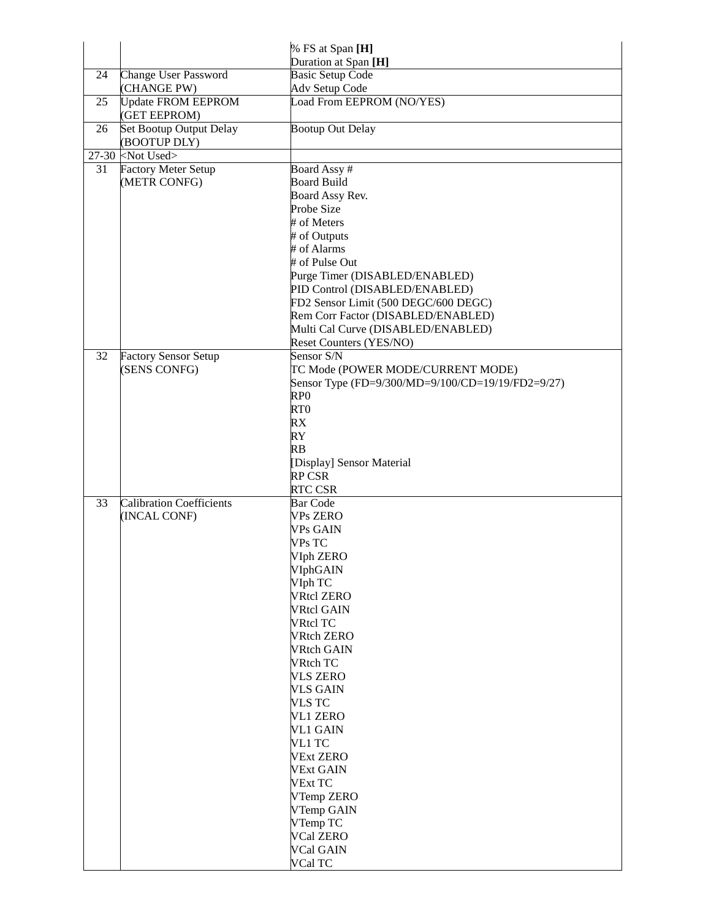|    |                                           | % FS at Span [H]                                  |
|----|-------------------------------------------|---------------------------------------------------|
|    |                                           | Duration at Span [H]                              |
| 24 | <b>Change User Password</b>               | <b>Basic Setup Code</b>                           |
|    | (CHANGE PW)                               | Adv Setup Code                                    |
| 25 | <b>Update FROM EEPROM</b><br>(GET EEPROM) | Load From EEPROM (NO/YES)                         |
| 26 | Set Bootup Output Delay<br>(BOOTUP DLY)   | <b>Bootup Out Delay</b>                           |
|    | $27-30$ <not used=""></not>               |                                                   |
| 31 | <b>Factory Meter Setup</b>                | Board Assy#                                       |
|    | (METR CONFG)                              | <b>Board Build</b>                                |
|    |                                           | Board Assy Rev.                                   |
|    |                                           | Probe Size                                        |
|    |                                           | # of Meters                                       |
|    |                                           | # of Outputs                                      |
|    |                                           | # of Alarms                                       |
|    |                                           | # of Pulse Out                                    |
|    |                                           | Purge Timer (DISABLED/ENABLED)                    |
|    |                                           | PID Control (DISABLED/ENABLED)                    |
|    |                                           | FD2 Sensor Limit (500 DEGC/600 DEGC)              |
|    |                                           | Rem Corr Factor (DISABLED/ENABLED)                |
|    |                                           | Multi Cal Curve (DISABLED/ENABLED)                |
|    |                                           | Reset Counters (YES/NO)                           |
| 32 | <b>Factory Sensor Setup</b>               | Sensor S/N                                        |
|    | (SENS CONFG)                              | TC Mode (POWER MODE/CURRENT MODE)                 |
|    |                                           | Sensor Type (FD=9/300/MD=9/100/CD=19/19/FD2=9/27) |
|    |                                           | RP <sub>0</sub>                                   |
|    |                                           | RT <sub>0</sub><br>RX                             |
|    |                                           | RY                                                |
|    |                                           | RB                                                |
|    |                                           | [Display] Sensor Material                         |
|    |                                           | <b>RP CSR</b>                                     |
|    |                                           | <b>RTC CSR</b>                                    |
| 33 | <b>Calibration Coefficients</b>           | <b>Bar Code</b>                                   |
|    | (INCAL CONF)                              | <b>VPs ZERO</b>                                   |
|    |                                           | <b>VPs GAIN</b>                                   |
|    |                                           | VPs TC                                            |
|    |                                           | VIph ZERO                                         |
|    |                                           | VIphGAIN                                          |
|    |                                           | VIph TC                                           |
|    |                                           | <b>VRtcl ZERO</b>                                 |
|    |                                           | <b>VRtcl GAIN</b>                                 |
|    |                                           | <b>VRtcl TC</b>                                   |
|    |                                           | <b>VRtch ZERO</b>                                 |
|    |                                           | <b>VRtch GAIN</b>                                 |
|    |                                           | <b>VRtch TC</b>                                   |
|    |                                           | <b>VLS ZERO</b>                                   |
|    |                                           | VLS GAIN                                          |
|    |                                           | <b>VLS TC</b><br><b>VL1 ZERO</b>                  |
|    |                                           | <b>VL1 GAIN</b>                                   |
|    |                                           | VL1 TC                                            |
|    |                                           | <b>VExt ZERO</b>                                  |
|    |                                           | <b>VExt GAIN</b>                                  |
|    |                                           | <b>VExt TC</b>                                    |
|    |                                           | VTemp ZERO                                        |
|    |                                           | VTemp GAIN                                        |
|    |                                           | VTemp TC                                          |
|    |                                           | <b>VCal ZERO</b>                                  |
|    |                                           | VCal GAIN                                         |
|    |                                           | VCal TC                                           |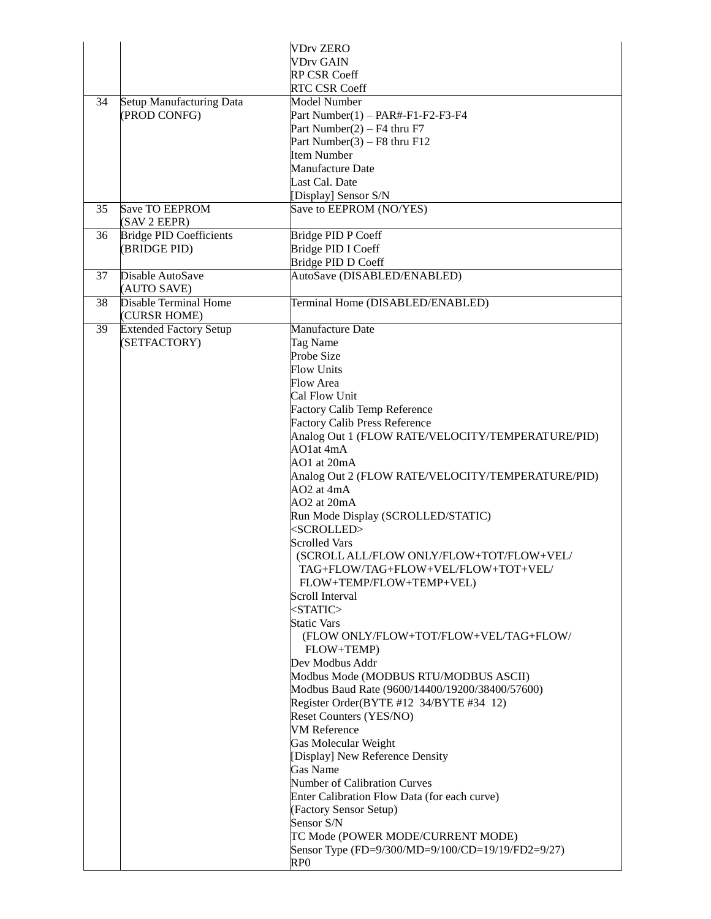|    |                                              | <b>VDrv ZERO</b><br><b>VDrv GAIN</b>                                        |
|----|----------------------------------------------|-----------------------------------------------------------------------------|
|    |                                              | RP CSR Coeff                                                                |
|    |                                              | <b>RTC CSR Coeff</b>                                                        |
| 34 | Setup Manufacturing Data                     | Model Number                                                                |
|    | (PROD CONFG)                                 | Part Number $(1)$ - PAR#-F1-F2-F3-F4                                        |
|    |                                              | Part Number(2) – $F4$ thru F7                                               |
|    |                                              | Part Number(3) – F8 thru $F12$                                              |
|    |                                              | <b>Item Number</b>                                                          |
|    |                                              | Manufacture Date                                                            |
|    |                                              | Last Cal. Date                                                              |
| 35 | Save TO EEPROM                               | [Display] Sensor S/N<br>Save to EEPROM (NO/YES)                             |
|    | (SAV 2 EEPR)                                 |                                                                             |
| 36 | <b>Bridge PID Coefficients</b>               | Bridge PID P Coeff                                                          |
|    | (BRIDGE PID)                                 | Bridge PID I Coeff                                                          |
|    |                                              | Bridge PID D Coeff                                                          |
| 37 | Disable AutoSave<br>(AUTO SAVE)              | AutoSave (DISABLED/ENABLED)                                                 |
| 38 | <b>Disable Terminal Home</b><br>(CURSR HOME) | Terminal Home (DISABLED/ENABLED)                                            |
| 39 | <b>Extended Factory Setup</b>                | Manufacture Date                                                            |
|    | (SETFACTORY)                                 | Tag Name                                                                    |
|    |                                              | Probe Size                                                                  |
|    |                                              | <b>Flow Units</b>                                                           |
|    |                                              | Flow Area                                                                   |
|    |                                              | Cal Flow Unit                                                               |
|    |                                              | <b>Factory Calib Temp Reference</b><br><b>Factory Calib Press Reference</b> |
|    |                                              | Analog Out 1 (FLOW RATE/VELOCITY/TEMPERATURE/PID)                           |
|    |                                              | AO1at 4mA                                                                   |
|    |                                              | AO1 at 20mA                                                                 |
|    |                                              | Analog Out 2 (FLOW RATE/VELOCITY/TEMPERATURE/PID)                           |
|    |                                              | AO2 at 4mA                                                                  |
|    |                                              | AO2 at 20mA                                                                 |
|    |                                              | Run Mode Display (SCROLLED/STATIC)                                          |
|    |                                              | <scrolled></scrolled>                                                       |
|    |                                              | <b>Scrolled Vars</b>                                                        |
|    |                                              | (SCROLL ALL/FLOW ONLY/FLOW+TOT/FLOW+VEL/                                    |
|    |                                              | TAG+FLOW/TAG+FLOW+VEL/FLOW+TOT+VEL/                                         |
|    |                                              | FLOW+TEMP/FLOW+TEMP+VEL)                                                    |
|    |                                              | Scroll Interval                                                             |
|    |                                              | $<$ STATIC $>$                                                              |
|    |                                              | <b>Static Vars</b>                                                          |
|    |                                              | (FLOW ONLY/FLOW+TOT/FLOW+VEL/TAG+FLOW/                                      |
|    |                                              | FLOW+TEMP)                                                                  |
|    |                                              | Dev Modbus Addr<br>Modbus Mode (MODBUS RTU/MODBUS ASCII)                    |
|    |                                              | Modbus Baud Rate (9600/14400/19200/38400/57600)                             |
|    |                                              | Register Order(BYTE #12 34/BYTE #34 12)                                     |
|    |                                              | Reset Counters (YES/NO)                                                     |
|    |                                              | <b>VM</b> Reference                                                         |
|    |                                              | Gas Molecular Weight                                                        |
|    |                                              | [Display] New Reference Density                                             |
|    |                                              | Gas Name                                                                    |
|    |                                              | <b>Number of Calibration Curves</b>                                         |
|    |                                              | Enter Calibration Flow Data (for each curve)                                |
|    |                                              | (Factory Sensor Setup)                                                      |
|    |                                              | Sensor S/N                                                                  |
|    |                                              | TC Mode (POWER MODE/CURRENT MODE)                                           |
|    |                                              | Sensor Type (FD=9/300/MD=9/100/CD=19/19/FD2=9/27)                           |
|    |                                              | RP <sub>0</sub>                                                             |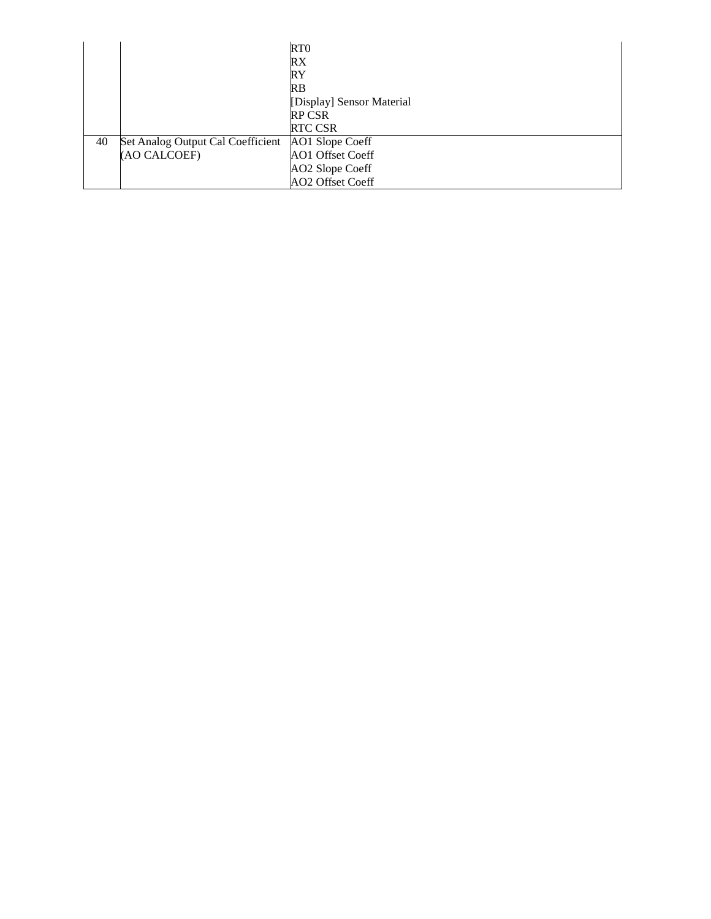|    |                                   | RT <sub>0</sub>           |
|----|-----------------------------------|---------------------------|
|    |                                   | RX                        |
|    |                                   | RY                        |
|    |                                   | RB                        |
|    |                                   | [Display] Sensor Material |
|    |                                   | <b>RP CSR</b>             |
|    |                                   | <b>RTC CSR</b>            |
| 40 | Set Analog Output Cal Coefficient | AO1 Slope Coeff           |
|    | (AO CALCOEF)                      | AO1 Offset Coeff          |
|    |                                   | AO2 Slope Coeff           |
|    |                                   | AO2 Offset Coeff          |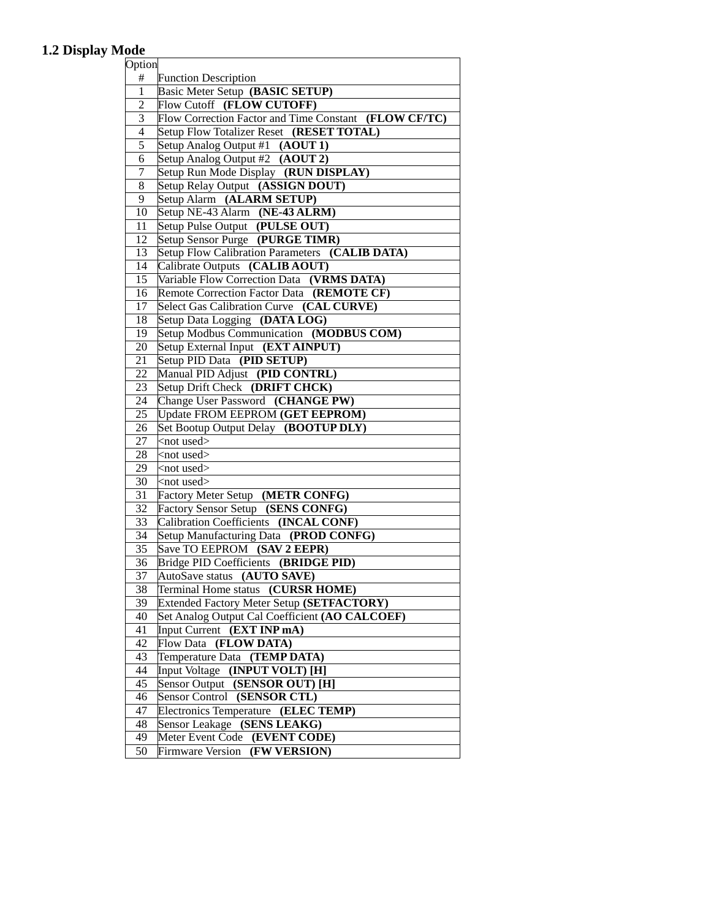## **1.2 Display Mode**

| Option       |                                                       |
|--------------|-------------------------------------------------------|
| #            | <b>Function Description</b>                           |
| $\mathbf{1}$ | Basic Meter Setup (BASIC SETUP)                       |
| 2            | Flow Cutoff (FLOW CUTOFF)                             |
| 3            | Flow Correction Factor and Time Constant (FLOW CF/TC) |
| 4            | Setup Flow Totalizer Reset (RESET TOTAL)              |
| 5            | Setup Analog Output #1 (AOUT 1)                       |
| 6            | Setup Analog Output #2 (AOUT 2)                       |
| 7            | Setup Run Mode Display (RUN DISPLAY)                  |
| 8            | Setup Relay Output (ASSIGN DOUT)                      |
| 9            | Setup Alarm (ALARM SETUP)                             |
| 10           | Setup NE-43 Alarm (NE-43 ALRM)                        |
| 11           | Setup Pulse Output (PULSE OUT)                        |
| 12           | Setup Sensor Purge (PURGE TIMR)                       |
| 13           | Setup Flow Calibration Parameters (CALIB DATA)        |
| 14           | Calibrate Outputs (CALIB AOUT)                        |
| 15           | Variable Flow Correction Data (VRMS DATA)             |
| 16           | Remote Correction Factor Data (REMOTE CF)             |
| 17           | Select Gas Calibration Curve (CAL CURVE)              |
| 18           | Setup Data Logging (DATA LOG)                         |
| 19           | Setup Modbus Communication (MODBUS COM)               |
| 20           | Setup External Input (EXT AINPUT)                     |
| 21           | Setup PID Data (PID SETUP)                            |
| 22           | Manual PID Adjust (PID CONTRL)                        |
| 23           | Setup Drift Check (DRIFT CHCK)                        |
| 24           | Change User Password (CHANGE PW)                      |
| 25           | Update FROM EEPROM (GET EEPROM)                       |
| 26           | Set Bootup Output Delay (BOOTUP DLY)                  |
| 27           | <not used=""></not>                                   |
| 28           | $<$ not used $>$                                      |
| 29           | $<$ not used $>$                                      |
| 30           | $<$ not used $>$                                      |
| 31           | Factory Meter Setup (METR CONFG)                      |
| 32           | Factory Sensor Setup (SENS CONFG)                     |
| 33           | Calibration Coefficients (INCAL CONF)                 |
| 34           | Setup Manufacturing Data (PROD CONFG)                 |
| 35           | Save TO EEPROM (SAV 2 EEPR)                           |
| 36           | Bridge PID Coefficients (BRIDGE PID)                  |
| 37           | AutoSave status (AUTO SAVE)                           |
| 38           | Terminal Home status (CURSR HOME)                     |
| 39           | Extended Factory Meter Setup (SETFACTORY)             |
| 40           | Set Analog Output Cal Coefficient (AO CALCOEF)        |
| 41           | Input Current<br>(EXT INP mA)                         |
| 42           | (FLOW DATA)<br>Flow Data                              |
| 43           | Temperature Data (TEMP DATA)                          |
| 44           | (INPUT VOLT) [H]<br><b>Input Voltage</b>              |
| 45           | Sensor Output (SENSOR OUT) [H]                        |
| 46           | Sensor Control (SENSOR CTL)                           |
| 47           | Electronics Temperature (ELEC TEMP)                   |
| 48           | (SENS LEAKG)<br>Sensor Leakage                        |
| 49           | Meter Event Code (EVENT CODE)                         |
| 50           | (FW VERSION)<br>Firmware Version                      |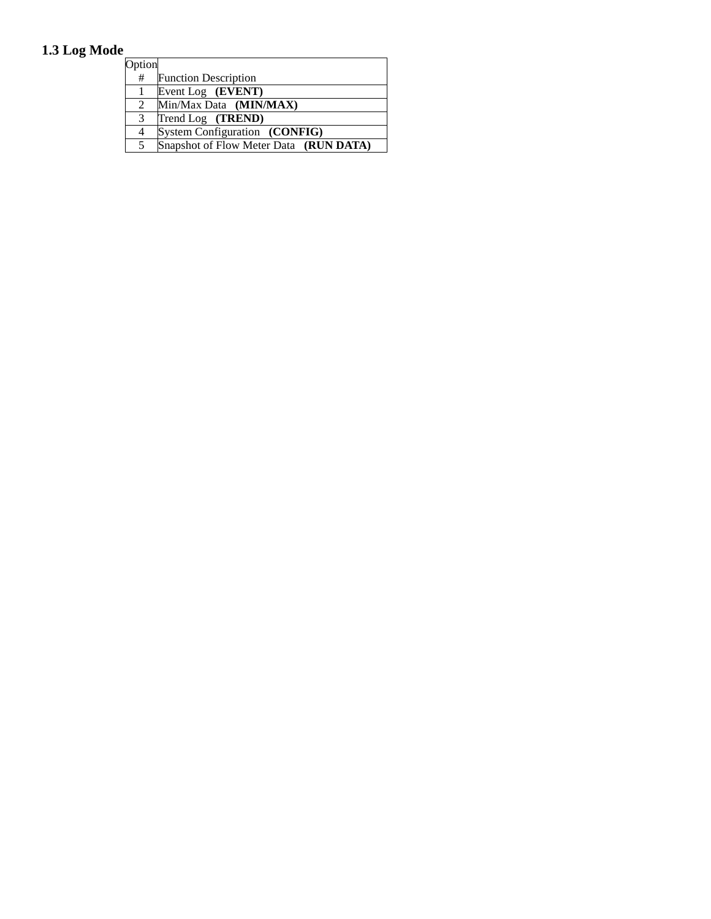## **1.3 Log Mode**

| Option |                                        |
|--------|----------------------------------------|
| #      | <b>Function Description</b>            |
|        | Event Log (EVENT)                      |
| 2      | Min/Max Data (MIN/MAX)                 |
| 3      | Trend Log (TREND)                      |
| 4      | System Configuration (CONFIG)          |
| 5      | Snapshot of Flow Meter Data (RUN DATA) |